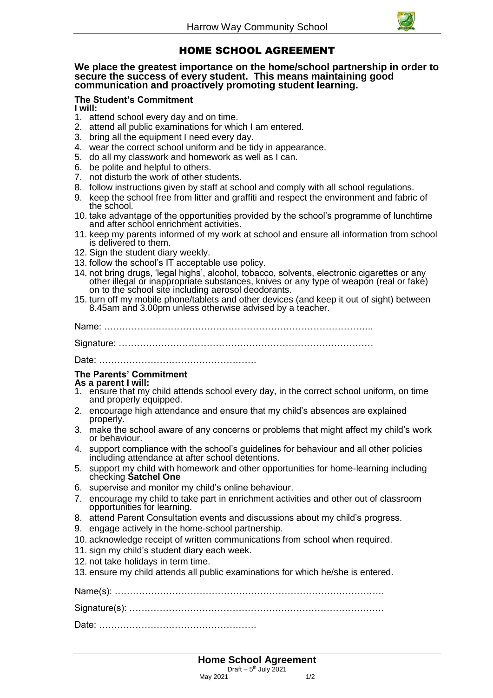

# HOME SCHOOL AGREEMENT

### **We place the greatest importance on the home/school partnership in order to secure the success of every student. This means maintaining good communication and proactively promoting student learning.**

## **The Student's Commitment**

**I will:**

- 1. attend school every day and on time.
- 2. attend all public examinations for which I am entered.
- 3. bring all the equipment I need every day.
- 4. wear the correct school uniform and be tidy in appearance.
- 5. do all my classwork and homework as well as I can.
- 6. be polite and helpful to others.
- 7. not disturb the work of other students.
- 8. follow instructions given by staff at school and comply with all school regulations.
- 9. keep the school free from litter and graffiti and respect the environment and fabric of the school.
- 10. take advantage of the opportunities provided by the school's programme of lunchtime and after school enrichment activities.
- 11. keep my parents informed of my work at school and ensure all information from school is delivered to them.
- 12. Sign the student diary weekly.
- 13. follow the school's IT acceptable use policy.
- 14. not bring drugs, 'legal highs', alcohol, tobacco, solvents, electronic cigarettes or any other illegal or inappropriate substances, knives or any type of weapon (real or fake) on to the school site including aerosol deodorants.
- 15. turn off my mobile phone/tablets and other devices (and keep it out of sight) between 8.45am and 3.00pm unless otherwise advised by a teacher.

Name: ……………………………………………………………………………..

Signature: …………………………………………………………………………

Date: …………………………………………….

### **The Parents' Commitment**

### **As a parent I will:**

- 1. ensure that my child attends school every day, in the correct school uniform, on time and properly equipped.
- 2. encourage high attendance and ensure that my child's absences are explained properly.
- 3. make the school aware of any concerns or problems that might affect my child's work or behaviour.
- 4. support compliance with the school's guidelines for behaviour and all other policies including attendance at after school detentions.
- 5. support my child with homework and other opportunities for home-learning including checking **Satchel One**
- 6. supervise and monitor my child's online behaviour.
- 7. encourage my child to take part in enrichment activities and other out of classroom opportunities for learning.
- 8. attend Parent Consultation events and discussions about my child's progress.
- 9. engage actively in the home-school partnership.
- 10. acknowledge receipt of written communications from school when required.
- 11. sign my child's student diary each week.
- 12. not take holidays in term time.
- 13. ensure my child attends all public examinations for which he/she is entered.

Name(s): …………………………………………………………………………….. Signature(s): ………………………………………………………………………… Date: …………………………………………….